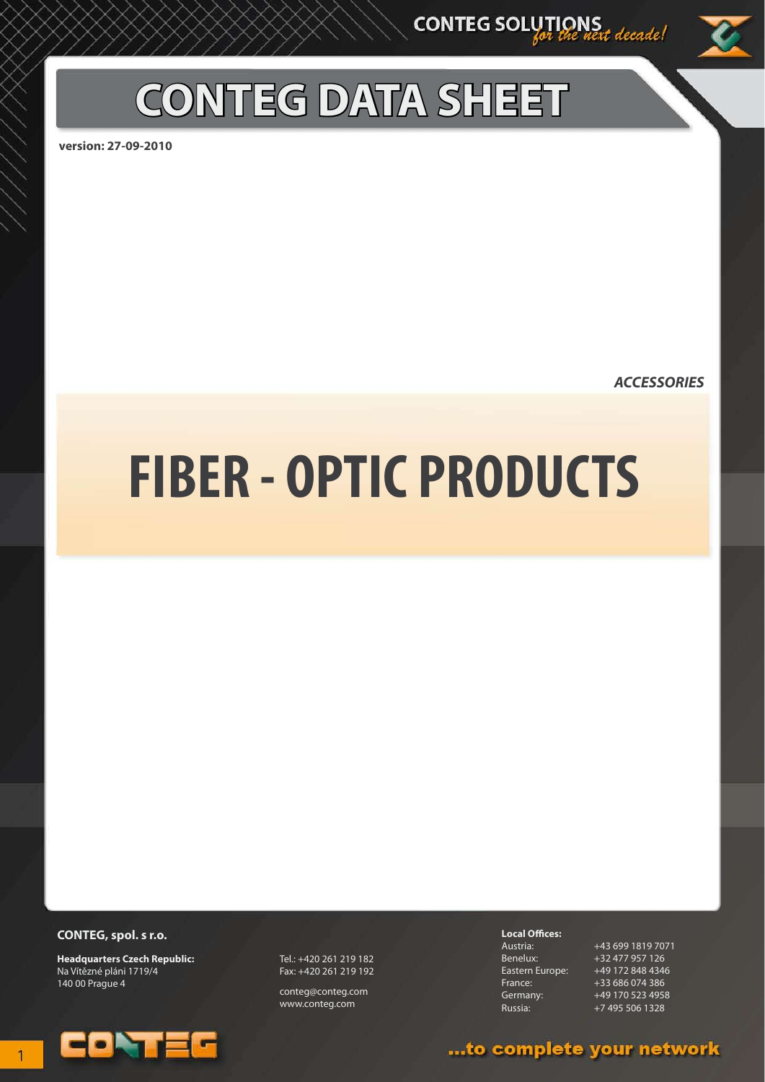## **CONTEG DATA SHEET**

**version: 27-09-2010**

*ACCESSORIES*

# **FIBER - OPTIC PRODUCTS**

#### **CONTEG, spol. s r.o.**

**Headquarters Czech Republic:** Na Vítězné pláni 1719/4 140 00 Prague 4



Tel.: +420 261 219 182 Fax: +420 261 219 192

conteg@conteg.com www.conteg.com

**Local Offices:**

Austria: +43 699 1819 7071 Benelux: +32 477 957 126<br>Eastern Europe: +49 172 848 4346 Eastern Europe: +49 172 848 4346 France: +33 686 074 386 Germany: +49 170 523 4958 Russia: +7 495 506 1328

### ...to complete your network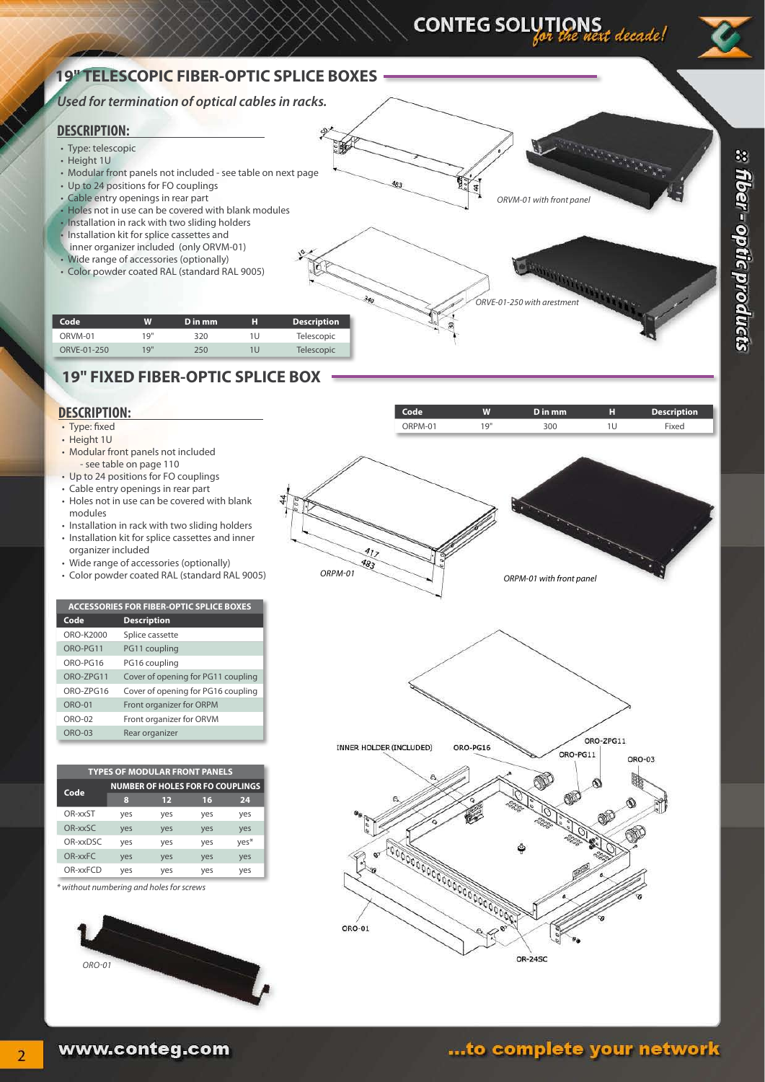CONTEG SOLUTIONS<br>entitled west decade!

**a** fiber - optic products

#### **19" TELESCOPIC FIBER-OPTIC SPLICE BOXES**

#### *Used for termination of optical cables in racks.*

#### **DESCRIPTION:**

- Type: telescopic
- Height 1U
- Modular front panels not included see table on next page
- Up to 24 positions for FO couplings
- • Cable entry openings in rear part
- Holes not in use can be covered with blank modules • Installation in rack with two sliding holders
- Installation kit for splice cassettes and
- inner organizer included (only ORVM-01)
- • Wide range of accessories (optionally)
- • Color powder coated RAL (standard RAL 9005)



| Code        | W    | D in mm | н   | <b>Description</b> |
|-------------|------|---------|-----|--------------------|
| ORVM-01     | 1 Q" | 320     | 1 U | Telescopic         |
| ORVE-01-250 | 19"  | 250     | 1U  | Telescopic         |
|             |      |         |     |                    |

#### **19" FIXED FIBER-OPTIC SPLICE BOX**

#### **DESCRIPTION:**

- Type: fixed
- Height 1U
- Modular front panels not included - see table on page 110
- Up to 24 positions for FO couplings
- • Cable entry openings in rear part
- Holes not in use can be covered with blank modules
- Installation in rack with two sliding holders • Installation kit for splice cassettes and inner
- organizer included • Wide range of accessories (optionally)
- • Color powder coated RAL (standard RAL 9005)



| Code             | <b>Description</b>                 |
|------------------|------------------------------------|
| ORO-K2000        | Splice cassette                    |
| ORO-PG11         | PG11 coupling                      |
| ORO-PG16         | PG16 coupling                      |
| <b>ORO-7PG11</b> | Cover of opening for PG11 coupling |
| ORO-7PG16        | Cover of opening for PG16 coupling |
| $ORO-01$         | Front organizer for ORPM           |
| ORO-02           | Front organizer for ORVM           |
| <b>ORO-03</b>    | Rear organizer                     |
|                  |                                    |

| <b>TYPES OF MODULAR FRONT PANELS</b> |                                         |                   |     |      |
|--------------------------------------|-----------------------------------------|-------------------|-----|------|
| Code                                 | <b>NUMBER OF HOLES FOR FO COUPLINGS</b> |                   |     |      |
|                                      | 8                                       | $12 \overline{ }$ | 16  | 24   |
| OR-xxST                              | yes                                     | yes               | yes | yes  |
| OR-xxSC                              | yes                                     | yes               | yes | yes  |
| OR-xxDSC                             | yes                                     | yes               | yes | yes* |
| OR-xxFC                              | yes                                     | yes               | yes | yes  |
| OR-xxFCD                             | yes                                     | yes               | yes | yes  |

*\* without numbering and holes for screws*







## ...to complete your network

www.conteg.com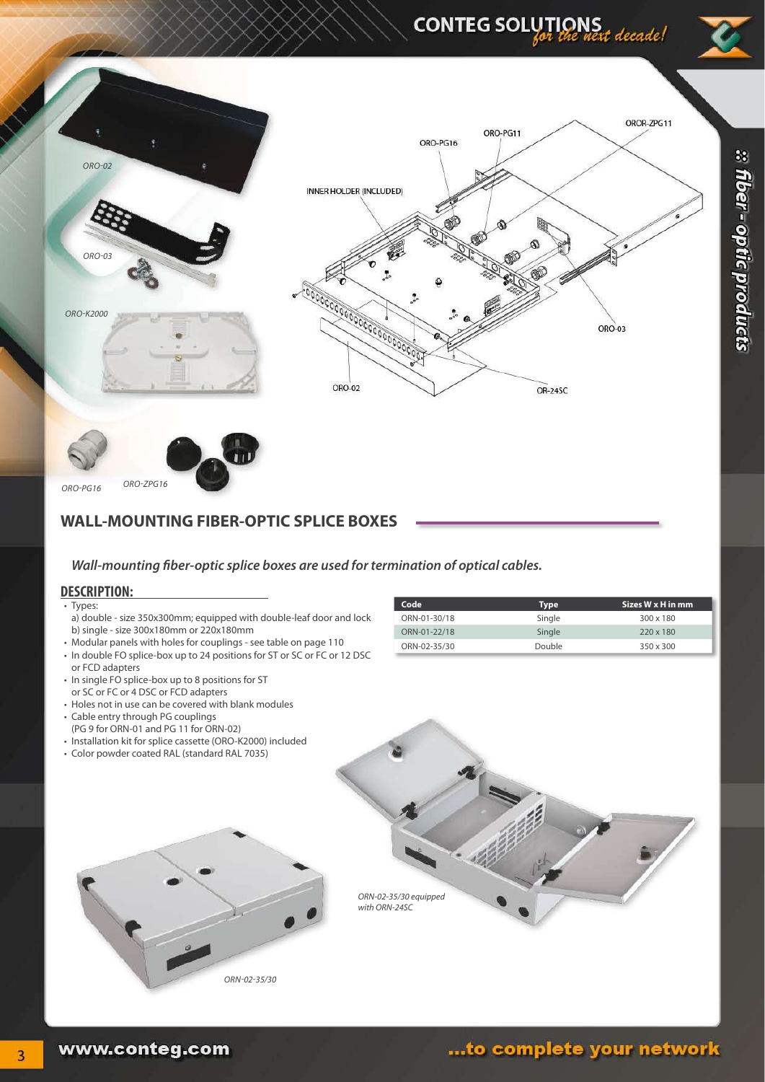## CONTEG SOLUTIONS<br>entitled west decade!





#### **WALL-MOUNTING FIBER-OPTIC SPLICE BOXES**

#### *Wall-mounting fiber-optic splice boxes are used for termination of optical cables.*

#### **DESCRIPTION:**

- • Types:
- a) double size 350x300mm; equipped with double-leaf door and lock b) single - size 300x180mm or 220x180mm
- Modular panels with holes for couplings see table on page 110
- In double FO splice-box up to 24 positions for ST or SC or FC or 12 DSC or FCD adapters
- In single FO splice-box up to 8 positions for ST
- or SC or FC or 4 DSC or FCD adapters • Holes not in use can be covered with blank modules
- • Cable entry through PG couplings
- (PG 9 for ORN-01 and PG 11 for ORN-02)
- Installation kit for splice cassette (ORO-K2000) included
- • Color powder coated RAL (standard RAL 7035)

| Code         | <b>Type</b> | Sizes W x H in mm |
|--------------|-------------|-------------------|
| ORN-01-30/18 | Single      | $300 \times 180$  |
| ORN-01-22/18 | Single      | 220 x 180         |
| ORN-02-35/30 | Double      | 350 x 300         |





 $\overline{3}$